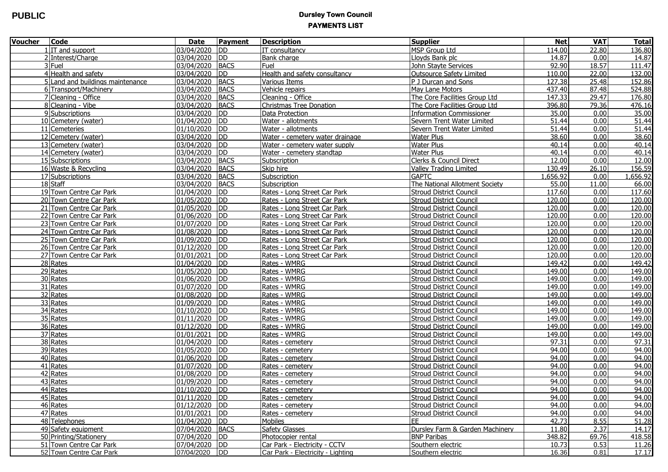## **PUBLIC DUREL PUBLIC PAYMENTS LIST**

| <b>Voucher</b> | <b>Code</b>                      | <b>Date</b>     | Payment     | <b>Description</b>                | <b>Supplier</b>                 | <b>Net</b> | <b>VAT</b> | <b>Total</b> |
|----------------|----------------------------------|-----------------|-------------|-----------------------------------|---------------------------------|------------|------------|--------------|
|                | $1$ IT and support               | 03/04/2020 DD   |             | IT consultancy                    | <b>MSP Group Ltd</b>            | 114.00     | 22.80      | 136.80       |
|                | 2 Interest/Charge                | 03/04/2020 DD   |             | <b>Bank charge</b>                | Lloyds Bank plc                 | 14.87      | 0.00       | 14.87        |
|                | 3 Fuel                           | 03/04/2020      | <b>BACS</b> | Fuel                              | <b>John Stayte Services</b>     | 92.90      | 18.57      | 111.47       |
|                | 4 Health and safety              | 03/04/2020      | <b>DD</b>   | Health and safety consultancy     | Outsource Safety Limited        | 110.00     | 22.00      | 132.00       |
|                | 5 Land and buildings maintenance | 03/04/2020 BACS |             | Various Items                     | P J Durcan and Sons             | 127.38     | 25.48      | 152.86       |
|                | 6 Transport/Machinery            | 03/04/2020      | <b>BACS</b> | Vehicle repairs                   | May Lane Motors                 | 437.40     | 87.48      | 524.88       |
|                | 7 Cleaning - Office              | 03/04/2020      | <b>BACS</b> | Cleaning - Office                 | The Core Facilities Group Ltd   | 147.33     | 29.47      | 176.80       |
|                | 8 Cleaning - Vibe                | 03/04/2020      | <b>BACS</b> | <b>Christmas Tree Donation</b>    | The Core Facilities Group Ltd   | 396.80     | 79.36      | 476.16       |
|                | 9 Subscriptions                  | 03/04/2020      | <b>DD</b>   | Data Protection                   | <b>Information Commissioner</b> | 35.00      | 0.00       | 35.00        |
|                | 10 Cemetery (water)              | 01/04/2020      | <b>DD</b>   | Water - allotments                | Severn Trent Water Limited      | 51.44      | 0.00       | 51.44        |
|                | 11 Cemeteries                    | 01/10/2020      | <b>DD</b>   | Water - allotments                | Severn Trent Water Limited      | 51.44      | 0.00       | 51.44        |
|                | 12 Cemetery (water)              | 03/04/2020      | <b>DD</b>   | Water - cemetery water drainage   | Water Plus                      | 38.60      | 0.00       | 38.60        |
|                | 13 Cemetery (water)              | 03/04/2020      | <b>DD</b>   | Water - cemetery water supply     | <b>Water Plus</b>               | 40.14      | 0.00       | 40.14        |
|                | 14 Cemetery (water)              | 03/04/2020 DD   |             | Water - cemetery standtap         | <b>Water Plus</b>               | 40.14      | 0.00       | 40.14        |
|                | 15 Subscriptions                 | 03/04/2020      | <b>BACS</b> | Subscription                      | Clerks & Council Direct         | 12.00      | 0.00       | 12.00        |
|                | 16 Waste & Recycling             | 03/04/2020      | <b>BACS</b> | Skip hire                         | <b>Valley Trading Limited</b>   | 130.49     | 26.10      | 156.59       |
|                | $\overline{17}$ Subscriptions    | 03/04/2020      | <b>BACS</b> | Subscription                      | <b>GAPTC</b>                    | 1,656.92   | 0.00       | 1,656.92     |
|                | 18 Staff                         | 03/04/2020      | <b>BACS</b> | Subscription                      | The National Allotment Society  | 55.00      | 11.00      | 66.00        |
|                | 19 Town Centre Car Park          | 01/04/2020      | <b>DD</b>   | Rates - Long Street Car Park      | <b>Stroud District Council</b>  | 117.60     | 0.00       | 117.60       |
|                | 20 Town Centre Car Park          | 01/05/2020      | <b>DD</b>   | Rates - Long Street Car Park      | <b>Stroud District Council</b>  | 120.00     | 0.00       | 120.00       |
|                | 21 Town Centre Car Park          | 01/05/2020      | DD          | Rates - Long Street Car Park      | <b>Stroud District Council</b>  | 120.00     | 0.00       | 120.00       |
|                | 22 Town Centre Car Park          | 01/06/2020      | <b>DD</b>   | Rates - Long Street Car Park      | <b>Stroud District Council</b>  | 120.00     | 0.00       | 120.00       |
|                | 23 Town Centre Car Park          | 01/07/2020 DD   |             | Rates - Long Street Car Park      | <b>Stroud District Council</b>  | 120.00     | 0.00       | 120.00       |
|                | 24 Town Centre Car Park          | 01/08/2020 DD   |             | Rates - Long Street Car Park      | <b>Stroud District Council</b>  | 120.00     | 0.00       | 120.00       |
|                | 25 Town Centre Car Park          | 01/09/2020      | <b>DD</b>   | Rates - Long Street Car Park      | <b>Stroud District Council</b>  | 120.00     | 0.00       | 120.00       |
|                | 26 Town Centre Car Park          | 01/12/2020 DD   |             | Rates - Long Street Car Park      | <b>Stroud District Council</b>  | 120.00     | 0.00       | 120.00       |
|                | 27 Town Centre Car Park          | 01/01/2021      | <b>DD</b>   | Rates - Long Street Car Park      | <b>Stroud District Council</b>  | 120.00     | 0.00       | 120.00       |
|                | 28 Rates                         | 01/04/2020      | <b>DD</b>   | Rates - WMRG                      | <b>Stroud District Council</b>  | 149.42     | 0.00       | 149.42       |
|                | 29 Rates                         | 01/05/2020      | <b>IDD</b>  | Rates - WMRG                      | <b>Stroud District Council</b>  | 149.00     | 0.00       | 149.00       |
|                | 30 Rates                         | 01/06/2020      | <b>DD</b>   | Rates - WMRG                      | <b>Stroud District Council</b>  | 149.00     | 0.00       | 149.00       |
|                | 31 Rates                         | 01/07/2020      | <b>DD</b>   | Rates - WMRG                      | <b>Stroud District Council</b>  | 149.00     | 0.00       | 149.00       |
|                | 32 Rates                         | 01/08/2020      | <b>DD</b>   | Rates - WMRG                      | <b>Stroud District Council</b>  | 149.00     | 0.00       | 149.00       |
|                | 33 Rates                         | 01/09/2020      | <b>DD</b>   | Rates - WMRG                      | <b>Stroud District Council</b>  | 149.00     | 0.00       | 149.00       |
|                | 34 Rates                         | 01/10/2020      | <b>IDD</b>  | Rates - WMRG                      | <b>Stroud District Council</b>  | 149.00     | 0.00       | 149.00       |
|                | 35 Rates                         | 01/11/2020      | DD          | Rates - WMRG                      | <b>Stroud District Council</b>  | 149.00     | 0.00       | 149.00       |
|                | 36 Rates                         | 01/12/2020      | DD          | Rates - WMRG                      | <b>Stroud District Council</b>  | 149.00     | 0.00       | 149.00       |
|                | 37 Rates                         | 01/01/2021      | <b>DD</b>   | Rates - WMRG                      | <b>Stroud District Council</b>  | 149.00     | 0.00       | 149.00       |
|                | 38 Rates                         | 01/04/2020      | <b>DD</b>   | Rates - cemetery                  | <b>Stroud District Council</b>  | 97.31      | 0.00       | 97.31        |
|                | 39 Rates                         | 01/05/2020      | <b>DD</b>   | Rates - cemetery                  | <b>Stroud District Council</b>  | 94.00      | 0.00       | 94.00        |
|                | 40 Rates                         | 01/06/2020      | <b>DD</b>   | Rates - cemetery                  | <b>Stroud District Council</b>  | 94.00      | 0.00       | 94.00        |
|                | 41 Rates                         | 01/07/2020      | <b>DD</b>   | Rates - cemetery                  | <b>Stroud District Council</b>  | 94.00      | 0.00       | 94.00        |
|                | 42 Rates                         | 01/08/2020      | <b>DD</b>   | Rates - cemetery                  | <b>Stroud District Council</b>  | 94.00      | 0.00       | 94.00        |
|                | 43 Rates                         | 01/09/2020      | <b>DD</b>   | Rates - cemetery                  | <b>Stroud District Council</b>  | 94.00      | 0.00       | 94.00        |
|                | 44 Rates                         | 01/10/2020      | <b>IDD</b>  | Rates - cemetery                  | <b>Stroud District Council</b>  | 94.00      | 0.00       | 94.00        |
|                | 45 Rates                         | $01/11/2020$ DD |             | Rates - cemetery                  | <b>Stroud District Council</b>  | 94.00      | 0.00       | 94.00        |
|                | $\overline{46}$ Rates            | 01/12/2020 DD   |             | Rates - cemetery                  | <b>Stroud District Council</b>  | 94.00      | 0.00       | 94.00        |
|                | 47 Rates                         | 01/01/2021 DD   |             | Rates - cemetery                  | <b>Stroud District Council</b>  | 94.00      | 0.00       | 94.00        |
|                | 48 Telephones                    | 01/04/2020 DD   |             | Mobiles                           | EE.                             | 42.73      | 8.55       | 51.28        |
|                | 49 Safety equipment              | 07/04/2020 BACS |             | <b>Safety Glasses</b>             | Dursley Farm & Garden Machinery | 11.80      | 2.37       | 14.17        |
|                | 50 Printing/Stationery           | 07/04/2020 DD   |             | Photocopier rental                | <b>BNP Paribas</b>              | 348.82     | 69.76      | 418.58       |
|                | 51 Town Centre Car Park          | 07/04/2020 DD   |             | Car Park - Electricity - CCTV     | Southern electric               | 10.73      | 0.53       | 11.26        |
|                | 52 Town Centre Car Park          | 07/04/2020 DD   |             | Car Park - Electricity - Lighting | Southern electric               | 16.36      | 0.81       | 17.17        |